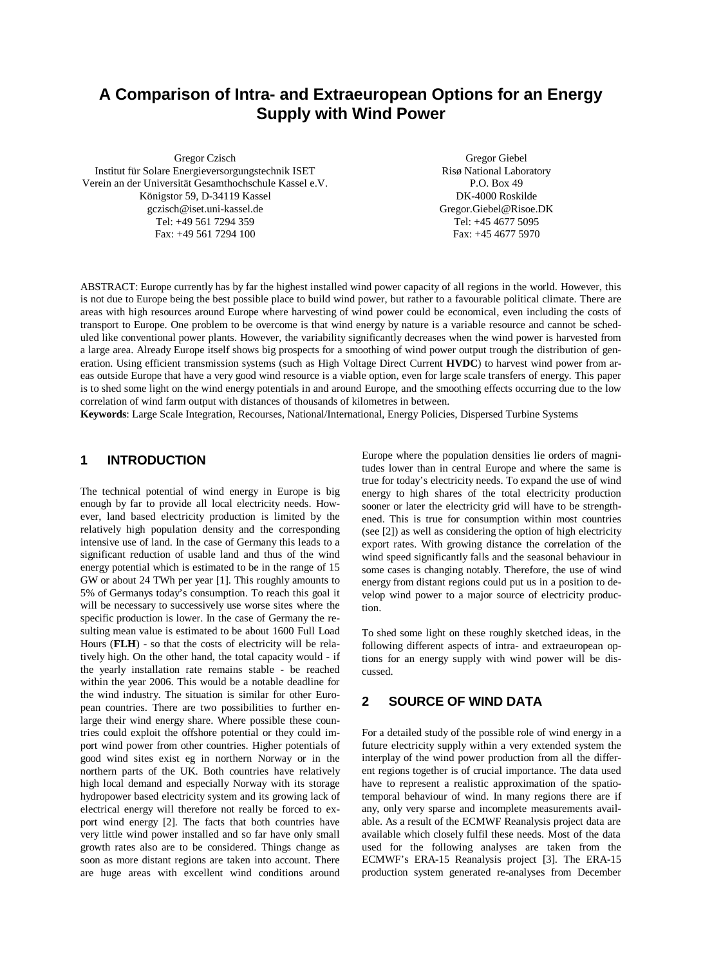# **A Comparison of Intra- and Extraeuropean Options for an Energy Supply with Wind Power**

Gregor Czisch Institut für Solare Energieversorgungstechnik ISET Verein an der Universität Gesamthochschule Kassel e.V. Königstor 59, D-34119 Kassel gczisch@iset.uni-kassel.de Tel: +49 561 7294 359 Fax: +49 561 7294 100

Gregor Giebel Risø National Laboratory P.O. Box 49 DK-4000 Roskilde Gregor.Giebel@Risoe.DK Tel: +45 4677 5095 Fax: +45 4677 5970

ABSTRACT: Europe currently has by far the highest installed wind power capacity of all regions in the world. However, this is not due to Europe being the best possible place to build wind power, but rather to a favourable political climate. There are areas with high resources around Europe where harvesting of wind power could be economical, even including the costs of transport to Europe. One problem to be overcome is that wind energy by nature is a variable resource and cannot be scheduled like conventional power plants. However, the variability significantly decreases when the wind power is harvested from a large area. Already Europe itself shows big prospects for a smoothing of wind power output trough the distribution of generation. Using efficient transmission systems (such as High Voltage Direct Current **HVDC**) to harvest wind power from areas outside Europe that have a very good wind resource is a viable option, even for large scale transfers of energy. This paper is to shed some light on the wind energy potentials in and around Europe, and the smoothing effects occurring due to the low correlation of wind farm output with distances of thousands of kilometres in between.

**Keywords**: Large Scale Integration, Recourses, National/International, Energy Policies, Dispersed Turbine Systems

#### **1 INTRODUCTION**

The technical potential of wind energy in Europe is big enough by far to provide all local electricity needs. However, land based electricity production is limited by the relatively high population density and the corresponding intensive use of land. In the case of Germany this leads to a significant reduction of usable land and thus of the wind energy potential which is estimated to be in the range of 15 GW or about 24 TWh per year [1]. This roughly amounts to 5% of Germanys today's consumption. To reach this goal it will be necessary to successively use worse sites where the specific production is lower. In the case of Germany the resulting mean value is estimated to be about 1600 Full Load Hours (**FLH**) - so that the costs of electricity will be relatively high. On the other hand, the total capacity would - if the yearly installation rate remains stable - be reached within the year 2006. This would be a notable deadline for the wind industry. The situation is similar for other European countries. There are two possibilities to further enlarge their wind energy share. Where possible these countries could exploit the offshore potential or they could import wind power from other countries. Higher potentials of good wind sites exist eg in northern Norway or in the northern parts of the UK. Both countries have relatively high local demand and especially Norway with its storage hydropower based electricity system and its growing lack of electrical energy will therefore not really be forced to export wind energy [2]. The facts that both countries have very little wind power installed and so far have only small growth rates also are to be considered. Things change as soon as more distant regions are taken into account. There are huge areas with excellent wind conditions around Europe where the population densities lie orders of magnitudes lower than in central Europe and where the same is true for today's electricity needs. To expand the use of wind energy to high shares of the total electricity production sooner or later the electricity grid will have to be strengthened. This is true for consumption within most countries (see [2]) as well as considering the option of high electricity export rates. With growing distance the correlation of the wind speed significantly falls and the seasonal behaviour in some cases is changing notably. Therefore, the use of wind energy from distant regions could put us in a position to develop wind power to a major source of electricity production.

To shed some light on these roughly sketched ideas, in the following different aspects of intra- and extraeuropean options for an energy supply with wind power will be discussed.

### **2 SOURCE OF WIND DATA**

For a detailed study of the possible role of wind energy in a future electricity supply within a very extended system the interplay of the wind power production from all the different regions together is of crucial importance. The data used have to represent a realistic approximation of the spatiotemporal behaviour of wind. In many regions there are if any, only very sparse and incomplete measurements available. As a result of the ECMWF Reanalysis project data are available which closely fulfil these needs. Most of the data used for the following analyses are taken from the ECMWF's ERA-15 Reanalysis project [3]. The ERA-15 production system generated re-analyses from December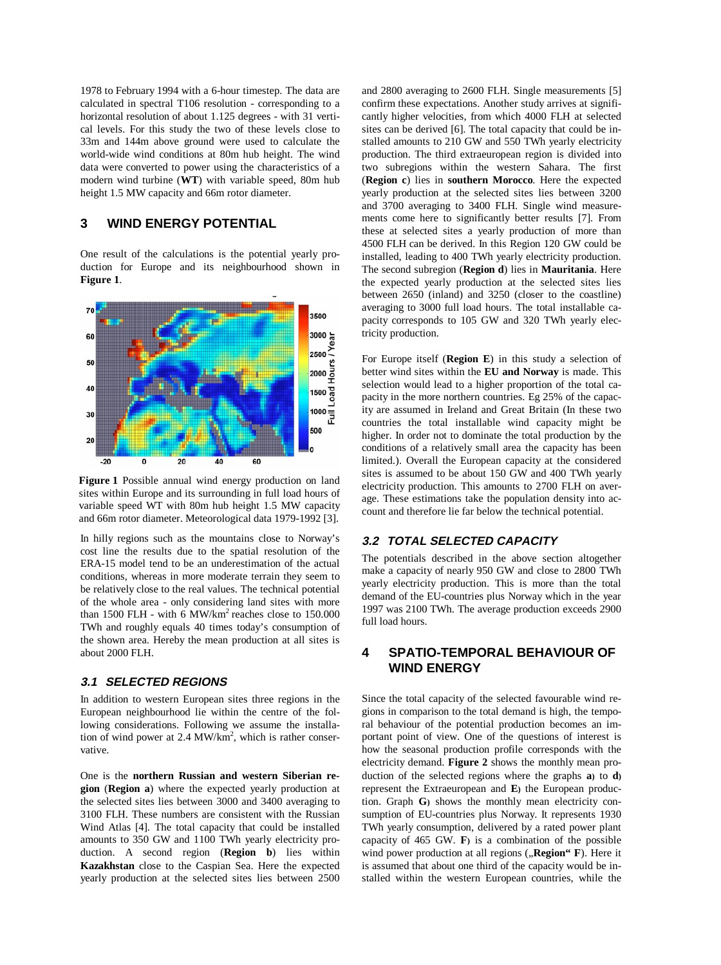1978 to February 1994 with a 6-hour timestep. The data are calculated in spectral T106 resolution - corresponding to a horizontal resolution of about 1.125 degrees - with 31 vertical levels. For this study the two of these levels close to 33m and 144m above ground were used to calculate the world-wide wind conditions at 80m hub height. The wind data were converted to power using the characteristics of a modern wind turbine (**WT**) with variable speed, 80m hub height 1.5 MW capacity and 66m rotor diameter.

## **3 WIND ENERGY POTENTIAL**

One result of the calculations is the potential yearly production for Europe and its neighbourhood shown in **Figure 1**.



**Figure 1** Possible annual wind energy production on land sites within Europe and its surrounding in full load hours of variable speed WT with 80m hub height 1.5 MW capacity and 66m rotor diameter. Meteorological data 1979-1992 [3].

In hilly regions such as the mountains close to Norway's cost line the results due to the spatial resolution of the ERA-15 model tend to be an underestimation of the actual conditions, whereas in more moderate terrain they seem to be relatively close to the real values. The technical potential of the whole area - only considering land sites with more than 1500 FLH - with 6 MW/km<sup>2</sup> reaches close to  $150,000$ TWh and roughly equals 40 times today's consumption of the shown area. Hereby the mean production at all sites is about 2000 FLH.

#### **3.1 SELECTED REGIONS**

In addition to western European sites three regions in the European neighbourhood lie within the centre of the following considerations. Following we assume the installation of wind power at 2.4 MW/km<sup>2</sup>, which is rather conservative.

One is the **northern Russian and western Siberian region** (**Region a**) where the expected yearly production at the selected sites lies between 3000 and 3400 averaging to 3100 FLH. These numbers are consistent with the Russian Wind Atlas [4]. The total capacity that could be installed amounts to 350 GW and 1100 TWh yearly electricity production. A second region (**Region b**) lies within **Kazakhstan** close to the Caspian Sea. Here the expected yearly production at the selected sites lies between 2500 and 2800 averaging to 2600 FLH. Single measurements [5] confirm these expectations. Another study arrives at significantly higher velocities, from which 4000 FLH at selected sites can be derived [6]. The total capacity that could be installed amounts to 210 GW and 550 TWh yearly electricity production. The third extraeuropean region is divided into two subregions within the western Sahara. The first (**Region c**) lies in **southern Morocco**. Here the expected yearly production at the selected sites lies between 3200 and 3700 averaging to 3400 FLH. Single wind measurements come here to significantly better results [7]. From these at selected sites a yearly production of more than 4500 FLH can be derived. In this Region 120 GW could be installed, leading to 400 TWh yearly electricity production. The second subregion (**Region d**) lies in **Mauritania**. Here the expected yearly production at the selected sites lies between 2650 (inland) and 3250 (closer to the coastline) averaging to 3000 full load hours. The total installable capacity corresponds to 105 GW and 320 TWh yearly electricity production.

For Europe itself (**Region E**) in this study a selection of better wind sites within the **EU and Norway** is made. This selection would lead to a higher proportion of the total capacity in the more northern countries. Eg 25% of the capacity are assumed in Ireland and Great Britain (In these two countries the total installable wind capacity might be higher. In order not to dominate the total production by the conditions of a relatively small area the capacity has been limited.). Overall the European capacity at the considered sites is assumed to be about 150 GW and 400 TWh yearly electricity production. This amounts to 2700 FLH on average. These estimations take the population density into account and therefore lie far below the technical potential.

#### **3.2 TOTAL SELECTED CAPACITY**

The potentials described in the above section altogether make a capacity of nearly 950 GW and close to 2800 TWh yearly electricity production. This is more than the total demand of the EU-countries plus Norway which in the year 1997 was 2100 TWh. The average production exceeds 2900 full load hours.

# **4 SPATIO-TEMPORAL BEHAVIOUR OF WIND ENERGY**

Since the total capacity of the selected favourable wind regions in comparison to the total demand is high, the temporal behaviour of the potential production becomes an important point of view. One of the questions of interest is how the seasonal production profile corresponds with the electricity demand. **Figure 2** shows the monthly mean production of the selected regions where the graphs **a)** to **d)** represent the Extraeuropean and **E)** the European production. Graph **G)** shows the monthly mean electricity consumption of EU-countries plus Norway. It represents 1930 TWh yearly consumption, delivered by a rated power plant capacity of 465 GW. **F)** is a combination of the possible wind power production at all regions ("Region" F). Here it is assumed that about one third of the capacity would be installed within the western European countries, while the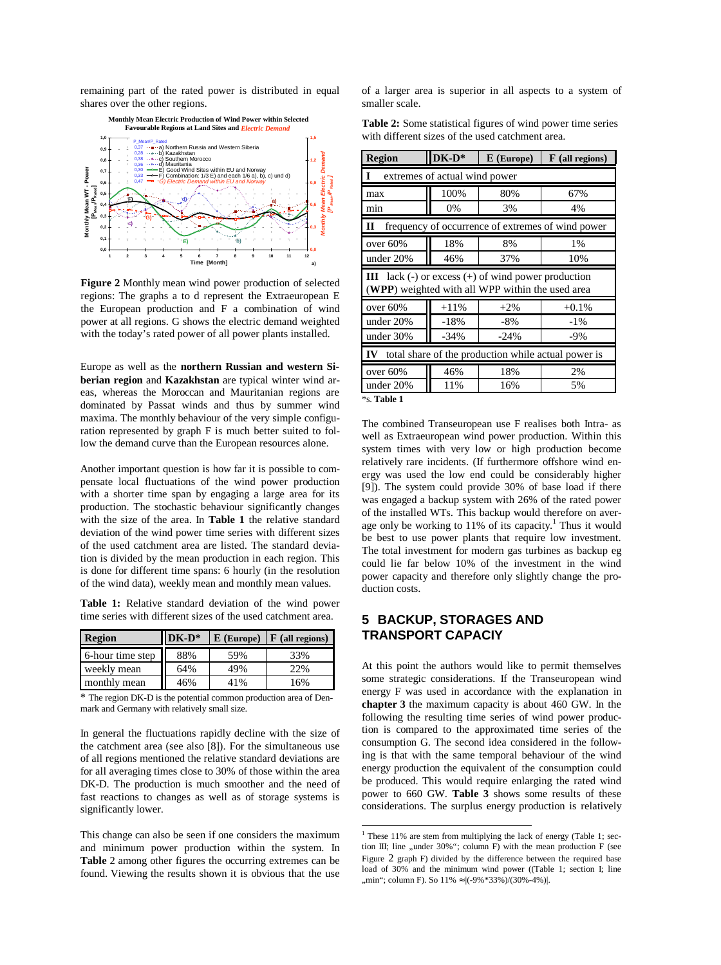remaining part of the rated power is distributed in equal shares over the other regions.



**Figure 2** Monthly mean wind power production of selected regions: The graphs a to d represent the Extraeuropean E the European production and F a combination of wind power at all regions. G shows the electric demand weighted with the today's rated power of all power plants installed.

Europe as well as the **northern Russian and western Siberian region** and **Kazakhstan** are typical winter wind areas, whereas the Moroccan and Mauritanian regions are dominated by Passat winds and thus by summer wind maxima. The monthly behaviour of the very simple configuration represented by graph F is much better suited to follow the demand curve than the European resources alone.

Another important question is how far it is possible to compensate local fluctuations of the wind power production with a shorter time span by engaging a large area for its production. The stochastic behaviour significantly changes with the size of the area. In **Table 1** the relative standard deviation of the wind power time series with different sizes of the used catchment area are listed. The standard deviation is divided by the mean production in each region. This is done for different time spans: 6 hourly (in the resolution of the wind data), weekly mean and monthly mean values.

**Table 1:** Relative standard deviation of the wind power time series with different sizes of the used catchment area.

| <b>Region</b>    | $DK-D^*$ |     | $\mathbf{E}$ (Europe) $\mathbf{F}$ (all regions) |  |
|------------------|----------|-----|--------------------------------------------------|--|
| 6-hour time step | 88%      | 59% | 33%                                              |  |
| weekly mean      | 64%      | 49% | 22%                                              |  |
| monthly mean     | 46%      | 41% | 16%                                              |  |

\* The region DK-D is the potential common production area of Denmark and Germany with relatively small size.

In general the fluctuations rapidly decline with the size of the catchment area (see also [8]). For the simultaneous use of all regions mentioned the relative standard deviations are for all averaging times close to 30% of those within the area DK-D. The production is much smoother and the need of fast reactions to changes as well as of storage systems is significantly lower.

This change can also be seen if one considers the maximum and minimum power production within the system. In **Table** 2 among other figures the occurring extremes can be found. Viewing the results shown it is obvious that the use of a larger area is superior in all aspects to a system of smaller scale.

**Table 2:** Some statistical figures of wind power time series with different sizes of the used catchment area.

| <b>Region</b>                                                                                                  | DK-D*  | $E$ (Europe) | F (all regions) |  |
|----------------------------------------------------------------------------------------------------------------|--------|--------------|-----------------|--|
| extremes of actual wind power<br>1                                                                             |        |              |                 |  |
| max                                                                                                            | 100%   | 80%          | 67%             |  |
| min                                                                                                            | 0%     | 3%           | 4%              |  |
| П<br>frequency of occurrence of extremes of wind power                                                         |        |              |                 |  |
| over 60%                                                                                                       | 18%    | 8%           | 1%              |  |
| under 20%                                                                                                      | 46%    | 37%          | 10%             |  |
| <b>III</b> lack (-) or excess (+) of wind power production<br>(WPP) weighted with all WPP within the used area |        |              |                 |  |
| over $60%$                                                                                                     | $+11%$ | $+2\%$       | $+0.1%$         |  |
| under 20%                                                                                                      | $-18%$ | $-8%$        | $-1\%$          |  |
| under 30%                                                                                                      | $-34%$ | $-24%$       | -9%             |  |
| total share of the production while actual power is<br>IV                                                      |        |              |                 |  |
| over 60%                                                                                                       | 46%    | 18%          | 2%              |  |
| under $20%$                                                                                                    | 11%    | 16%          | 5%              |  |
| *s. Table 1                                                                                                    |        |              |                 |  |

The combined Transeuropean use F realises both Intra- as well as Extraeuropean wind power production. Within this system times with very low or high production become relatively rare incidents. (If furthermore offshore wind energy was used the low end could be considerably higher [9]). The system could provide 30% of base load if there was engaged a backup system with 26% of the rated power of the installed WTs. This backup would therefore on average only be working to 11% of its capacity.<sup>1</sup> Thus it would be best to use power plants that require low investment. The total investment for modern gas turbines as backup eg could lie far below 10% of the investment in the wind power capacity and therefore only slightly change the production costs.

# **5 BACKUP, STORAGES AND TRANSPORT CAPACIY**

At this point the authors would like to permit themselves some strategic considerations. If the Transeuropean wind energy F was used in accordance with the explanation in **chapter 3** the maximum capacity is about 460 GW. In the following the resulting time series of wind power production is compared to the approximated time series of the consumption G. The second idea considered in the following is that with the same temporal behaviour of the wind energy production the equivalent of the consumption could be produced. This would require enlarging the rated wind power to 660 GW. **Table 3** shows some results of these considerations. The surplus energy production is relatively

<sup>&</sup>lt;sup>1</sup> These 11% are stem from multiplying the lack of energy (Table 1; section III; line "under  $30\%$ "; column F) with the mean production F (see Figure 2 graph F) divided by the difference between the required base load of 30% and the minimum wind power ((Table 1; section I; line "min"; column F). So 11% ≈ |(-9%\*33%)/(30%-4%)|.